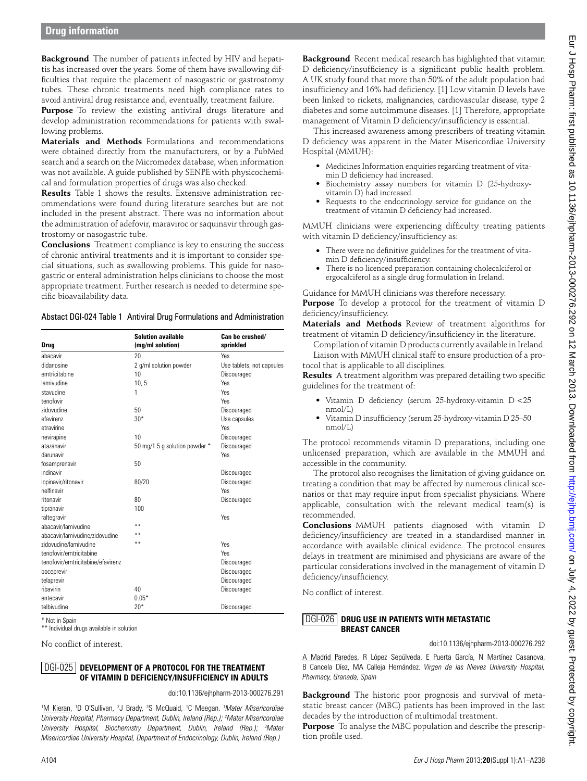**Background** The number of patients infected by HIV and hepatitis has increased over the years. Some of them have swallowing difficulties that require the placement of nasogastric or gastrostomy tubes. These chronic treatments need high compliance rates to avoid antiviral drug resistance and, eventually, treatment failure.

**Purpose** To review the existing antiviral drugs literature and develop administration recommendations for patients with swallowing problems.

**Materials and Methods** Formulations and recommendations were obtained directly from the manufacturers, or by a PubMed search and a search on the Micromedex database, when information was not available. A guide published by SENPE with physicochemical and formulation properties of drugs was also checked.

**Results** Table 1 shows the results. Extensive administration recommendations were found during literature searches but are not included in the present abstract. There was no information about the administration of adefovir, maraviroc or saquinavir through gastrostomy or nasogastric tube.

**Conclusions** Treatment compliance is key to ensuring the success of chronic antiviral treatments and it is important to consider special situations, such as swallowing problems. This guide for nasogastric or enteral administration helps clinicians to choose the most appropriate treatment. Further research is needed to determine specific bioavailability data.

Abstact DGI-024 Table 1 Antiviral Drug Formulations and Administration

| Drug                              | <b>Solution available</b><br>(mg/ml solution) | Can be crushed/<br>sprinkled |
|-----------------------------------|-----------------------------------------------|------------------------------|
| ahacavir                          | 20                                            | Yes                          |
| didanosine                        | 2 g/ml solution powder                        | Use tablets, not capsules    |
| emtricitabine                     | 10                                            | Discouraged                  |
| lamivudine                        | 10, 5                                         | <b>Yes</b>                   |
| stavudine                         | 1                                             | <b>Yes</b>                   |
| tenofovir                         |                                               | Yes                          |
| zidovudine                        | 50                                            | Discouraged                  |
| efavirenz                         | $30*$                                         | Use capsules                 |
| etravirine                        |                                               | <b>Yes</b>                   |
| nevirapine                        | 10                                            | Discouraged                  |
| atazanavir                        | 50 mg/1.5 g solution powder *                 | Discouraged                  |
| darunavir                         |                                               | Yes                          |
| fosamprenavir                     | 50                                            |                              |
| indinavir                         |                                               | Discouraged                  |
| lopinavir/ritonavir               | 80/20                                         | Discouraged                  |
| nelfinavir                        |                                               | Yes                          |
| ritonavir                         | 80                                            | Discouraged                  |
| tipranavir                        | 100                                           |                              |
| raltegravir                       |                                               | <b>Yes</b>                   |
| abacavir/lamivudine               | **                                            |                              |
| abacavir/lamivudine/zidovudine    | **                                            |                              |
| zidovudine/lamivudine             | **                                            | <b>Yes</b>                   |
| tenofovir/emtricitabine           |                                               | <b>Yes</b>                   |
| tenofovir/emtricitabine/efavirenz |                                               | Discouraged                  |
| boceprevir                        |                                               | Discouraged                  |
| telaprevir                        |                                               | Discouraged                  |
| ribavirin                         | 40                                            | Discouraged                  |
| entecavir                         | $0.05*$                                       |                              |
| telbivudine                       | $20*$                                         | Discouraged                  |

\* Not in Spain

\*\* Individual drugs available in solution

No conflict of interest.

## **Development of a Protocol For the Treatment of Vitamin D Deficiency/Insufficiency in Adults**  DGI-025

doi:10.1136/ejhpharm-2013-000276.291

<sup>1</sup>M Kieran, <sup>1</sup>D O'Sullivan, <sup>2</sup>J Brady, <sup>3</sup>S McQuaid, <sup>1</sup>C Meegan. *<sup>1</sup>Mater Misericordiae University Hospital, Pharmacy Department, Dublin, Ireland (Rep.); 2 Mater Misericordiae University Hospital, Biochemistry Department, Dublin, Ireland (Rep.); 3 Mater Misericordiae University Hospital, Department of Endocrinology, Dublin, Ireland (Rep.)* 

**Background** Recent medical research has highlighted that vitamin D deficiency/insufficiency is a significant public health problem. A UK study found that more than 50% of the adult population had insufficiency and 16% had deficiency. [1] Low vitamin D levels have been linked to rickets, malignancies, cardiovascular disease, type 2 diabetes and some autoimmune diseases. [1] Therefore, appropriate management of Vitamin D deficiency/insufficiency is essential.

This increased awareness among prescribers of treating vitamin D deficiency was apparent in the Mater Misericordiae University Hospital (MMUH):

- ●● Medicines Information enquiries regarding treatment of vitamin D deficiency had increased.
- Biochemistry assay numbers for vitamin D (25-hydroxyvitamin D) had increased.
- ●● Requests to the endocrinology service for guidance on the treatment of vitamin D deficiency had increased.

MMUH clinicians were experiencing difficulty treating patients with vitamin D deficiency/insufficiency as:

- There were no definitive guidelines for the treatment of vitamin D deficiency/insufficiency.
- There is no licenced preparation containing cholecalciferol or ergocalciferol as a single drug formulation in Ireland.

Guidance for MMUH clinicians was therefore necessary. **Purpose** To develop a protocol for the treatment of vitamin D deficiency/insufficiency.

**Materials and Methods** Review of treatment algorithms for treatment of vitamin D deficiency/insufficiency in the literature.

Compilation of vitamin D products currently available in Ireland. Liaison with MMUH clinical staff to ensure production of a protocol that is applicable to all disciplines.

**Results** A treatment algorithm was prepared detailing two specific guidelines for the treatment of:

- ●● Vitamin D deficiency (serum 25-hydroxy-vitamin D <25 nmol/L)
- ●● Vitamin D insufficiency (serum 25-hydroxy-vitamin D 25–50 nmol/L)

The protocol recommends vitamin D preparations, including one unlicensed preparation, which are available in the MMUH and accessible in the community.

The protocol also recognises the limitation of giving guidance on treating a condition that may be affected by numerous clinical scenarios or that may require input from specialist physicians. Where applicable, consultation with the relevant medical team(s) is recommended.

**Conclusions** MMUH patients diagnosed with vitamin D deficiency/insufficiency are treated in a standardised manner in accordance with available clinical evidence. The protocol ensures delays in treatment are minimised and physicians are aware of the particular considerations involved in the management of vitamin D deficiency/insufficiency.

No conflict of interest.

## DGI-026 | DRUG USE IN PATIENTS WITH METASTATIC **Breast Cancer**

doi:10.1136/ejhpharm-2013-000276.292

A Madrid Paredes, R López Sepúlveda, E Puerta García, N Martínez Casanova, B Cancela Díez, MA Calleja Hernández. *Virgen de las Nieves University Hospital, Pharmacy, Granada, Spain* 

**Background** The historic poor prognosis and survival of metastatic breast cancer (MBC) patients has been improved in the last decades by the introduction of multimodal treatment.

**Purpose** To analyse the MBC population and describe the prescription profile used.